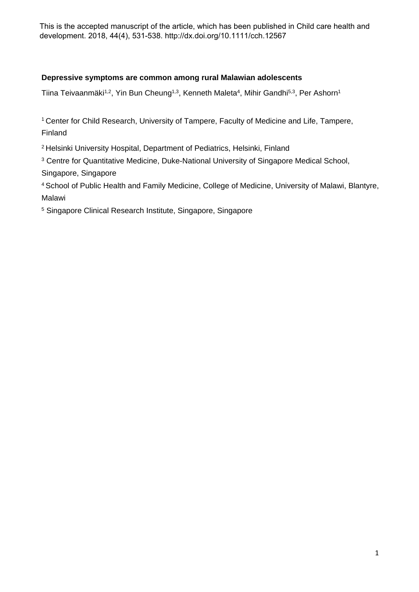This is the accepted manuscript of the article, which has been published in Child care health and development. 2018, 44(4), 531-538. http://dx.doi.org/10.1111/cch.12567

# **Depressive symptoms are common among rural Malawian adolescents**

Tiina Teivaanmäki $^{1,2}$ , Yin Bun Cheung $^{1,3}$ , Kenneth Maleta $^{4}$ , Mihir Gandhi $^{5,3}$ , Per Ashorn $^{1}$ 

<sup>1</sup> Center for Child Research, University of Tampere, Faculty of Medicine and Life, Tampere, Finland

<sup>2</sup> Helsinki University Hospital, Department of Pediatrics, Helsinki, Finland

<sup>3</sup> Centre for Quantitative Medicine, Duke-National University of Singapore Medical School, Singapore, Singapore

<sup>4</sup> School of Public Health and Family Medicine, College of Medicine, University of Malawi, Blantyre, Malawi

<sup>5</sup> Singapore Clinical Research Institute, Singapore, Singapore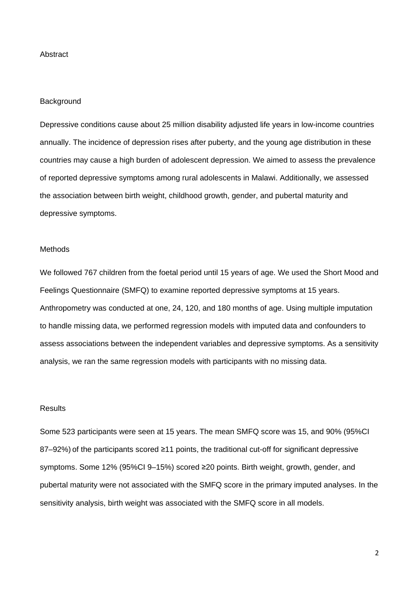# Abstract

### **Background**

Depressive conditions cause about 25 million disability adjusted life years in low-income countries annually. The incidence of depression rises after puberty, and the young age distribution in these countries may cause a high burden of adolescent depression. We aimed to assess the prevalence of reported depressive symptoms among rural adolescents in Malawi. Additionally, we assessed the association between birth weight, childhood growth, gender, and pubertal maturity and depressive symptoms.

# **Methods**

We followed 767 children from the foetal period until 15 years of age. We used the Short Mood and Feelings Questionnaire (SMFQ) to examine reported depressive symptoms at 15 years. Anthropometry was conducted at one, 24, 120, and 180 months of age. Using multiple imputation to handle missing data, we performed regression models with imputed data and confounders to assess associations between the independent variables and depressive symptoms. As a sensitivity analysis, we ran the same regression models with participants with no missing data.

# **Results**

Some 523 participants were seen at 15 years. The mean SMFQ score was 15, and 90% (95%CI 87–92%) of the participants scored ≥11 points, the traditional cut-off for significant depressive symptoms. Some 12% (95%CI 9–15%) scored ≥20 points. Birth weight, growth, gender, and pubertal maturity were not associated with the SMFQ score in the primary imputed analyses. In the sensitivity analysis, birth weight was associated with the SMFQ score in all models.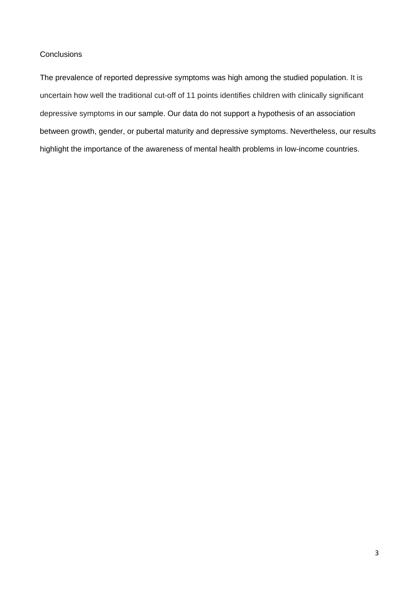# **Conclusions**

The prevalence of reported depressive symptoms was high among the studied population. It is uncertain how well the traditional cut-off of 11 points identifies children with clinically significant depressive symptoms in our sample. Our data do not support a hypothesis of an association between growth, gender, or pubertal maturity and depressive symptoms. Nevertheless, our results highlight the importance of the awareness of mental health problems in low-income countries.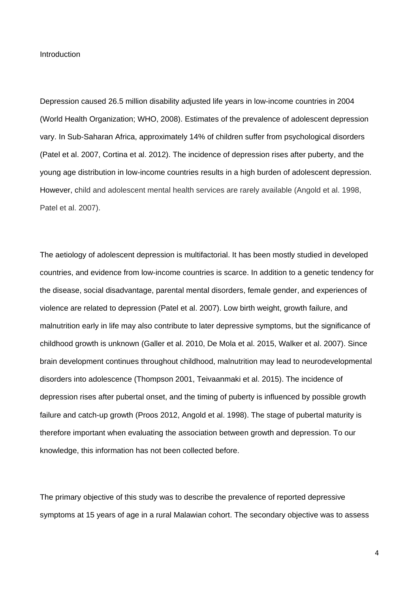**Introduction** 

Depression caused 26.5 million disability adjusted life years in low-income countries in 2004 (World Health Organization; WHO, 2008). Estimates of the prevalence of adolescent depression vary. In Sub-Saharan Africa, approximately 14% of children suffer from psychological disorders (Patel et al. 2007, Cortina et al. 2012). The incidence of depression rises after puberty, and the young age distribution in low-income countries results in a high burden of adolescent depression. However, child and adolescent mental health services are rarely available (Angold et al. 1998, Patel et al. 2007).

The aetiology of adolescent depression is multifactorial. It has been mostly studied in developed countries, and evidence from low-income countries is scarce. In addition to a genetic tendency for the disease, social disadvantage, parental mental disorders, female gender, and experiences of violence are related to depression (Patel et al. 2007). Low birth weight, growth failure, and malnutrition early in life may also contribute to later depressive symptoms, but the significance of childhood growth is unknown (Galler et al. 2010, De Mola et al. 2015, Walker et al. 2007). Since brain development continues throughout childhood, malnutrition may lead to neurodevelopmental disorders into adolescence (Thompson 2001, Teivaanmaki et al. 2015). The incidence of depression rises after pubertal onset, and the timing of puberty is influenced by possible growth failure and catch-up growth (Proos 2012, Angold et al. 1998). The stage of pubertal maturity is therefore important when evaluating the association between growth and depression. To our knowledge, this information has not been collected before.

The primary objective of this study was to describe the prevalence of reported depressive symptoms at 15 years of age in a rural Malawian cohort. The secondary objective was to assess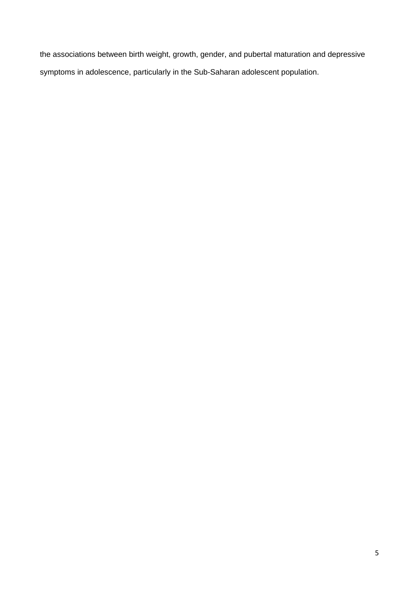the associations between birth weight, growth, gender, and pubertal maturation and depressive symptoms in adolescence, particularly in the Sub-Saharan adolescent population.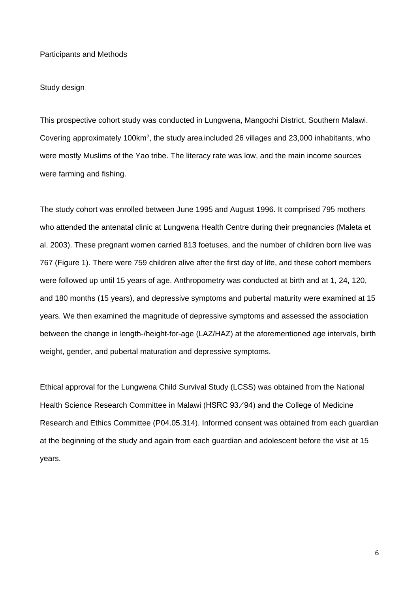Participants and Methods

#### Study design

This prospective cohort study was conducted in Lungwena, Mangochi District, Southern Malawi. Covering approximately 100km2, the study area included 26 villages and 23,000 inhabitants, who were mostly Muslims of the Yao tribe. The literacy rate was low, and the main income sources were farming and fishing.

The study cohort was enrolled between June 1995 and August 1996. It comprised 795 mothers who attended the antenatal clinic at Lungwena Health Centre during their pregnancies (Maleta et al. 2003). These pregnant women carried 813 foetuses, and the number of children born live was 767 (Figure 1). There were 759 children alive after the first day of life, and these cohort members were followed up until 15 years of age. Anthropometry was conducted at birth and at 1, 24, 120, and 180 months (15 years), and depressive symptoms and pubertal maturity were examined at 15 years. We then examined the magnitude of depressive symptoms and assessed the association between the change in length-/height-for-age (LAZ/HAZ) at the aforementioned age intervals, birth weight, gender, and pubertal maturation and depressive symptoms.

Ethical approval for the Lungwena Child Survival Study (LCSS) was obtained from the National Health Science Research Committee in Malawi (HSRC 93/94) and the College of Medicine Research and Ethics Committee (P04.05.314). Informed consent was obtained from each guardian at the beginning of the study and again from each guardian and adolescent before the visit at 15 years.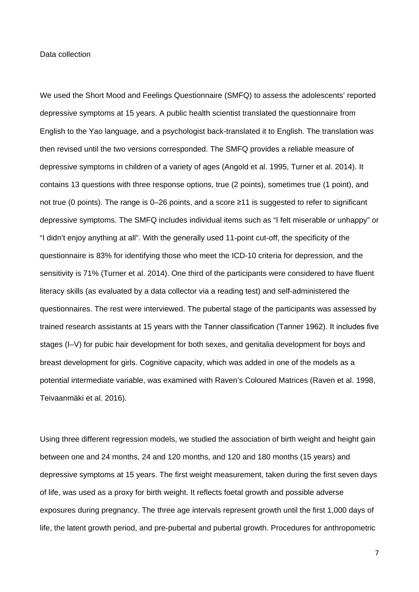#### Data collection

We used the Short Mood and Feelings Questionnaire (SMFQ) to assess the adolescents' reported depressive symptoms at 15 years. A public health scientist translated the questionnaire from English to the Yao language, and a psychologist back-translated it to English. The translation was then revised until the two versions corresponded. The SMFQ provides a reliable measure of depressive symptoms in children of a variety of ages (Angold et al. 1995, Turner et al. 2014). It contains 13 questions with three response options, true (2 points), sometimes true (1 point), and not true (0 points). The range is 0–26 points, and a score ≥11 is suggested to refer to significant depressive symptoms. The SMFQ includes individual items such as "I felt miserable or unhappy" or "I didn't enjoy anything at all". With the generally used 11-point cut-off, the specificity of the questionnaire is 83% for identifying those who meet the ICD-10 criteria for depression, and the sensitivity is 71% (Turner et al. 2014). One third of the participants were considered to have fluent literacy skills (as evaluated by a data collector via a reading test) and self-administered the questionnaires. The rest were interviewed. The pubertal stage of the participants was assessed by trained research assistants at 15 years with the Tanner classification (Tanner 1962). It includes five stages (I–V) for pubic hair development for both sexes, and genitalia development for boys and breast development for girls. Cognitive capacity, which was added in one of the models as a potential intermediate variable, was examined with Raven's Coloured Matrices (Raven et al. 1998, Teivaanmäki et al. 2016).

Using three different regression models, we studied the association of birth weight and height gain between one and 24 months, 24 and 120 months, and 120 and 180 months (15 years) and depressive symptoms at 15 years. The first weight measurement, taken during the first seven days of life, was used as a proxy for birth weight. It reflects foetal growth and possible adverse exposures during pregnancy. The three age intervals represent growth until the first 1,000 days of life, the latent growth period, and pre-pubertal and pubertal growth. Procedures for anthropometric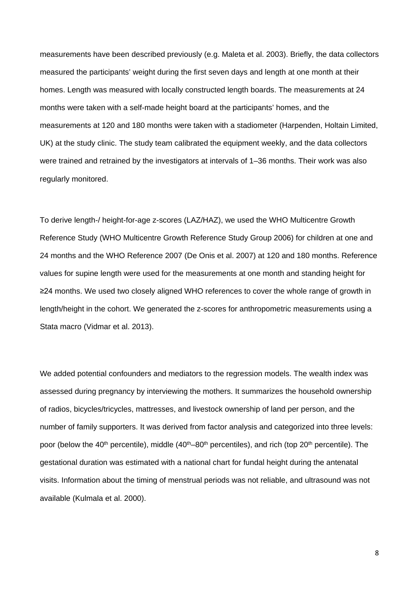measurements have been described previously (e.g. Maleta et al. 2003). Briefly, the data collectors measured the participants' weight during the first seven days and length at one month at their homes. Length was measured with locally constructed length boards. The measurements at 24 months were taken with a self-made height board at the participants' homes, and the measurements at 120 and 180 months were taken with a stadiometer (Harpenden, Holtain Limited, UK) at the study clinic. The study team calibrated the equipment weekly, and the data collectors were trained and retrained by the investigators at intervals of 1–36 months. Their work was also regularly monitored.

To derive length-/ height-for-age z-scores (LAZ/HAZ), we used the WHO Multicentre Growth Reference Study (WHO Multicentre Growth Reference Study Group 2006) for children at one and 24 months and the WHO Reference 2007 (De Onis et al. 2007) at 120 and 180 months. Reference values for supine length were used for the measurements at one month and standing height for ≥24 months. We used two closely aligned WHO references to cover the whole range of growth in length/height in the cohort. We generated the z-scores for anthropometric measurements using a Stata macro (Vidmar et al. 2013).

We added potential confounders and mediators to the regression models. The wealth index was assessed during pregnancy by interviewing the mothers. It summarizes the household ownership of radios, bicycles/tricycles, mattresses, and livestock ownership of land per person, and the number of family supporters. It was derived from factor analysis and categorized into three levels: poor (below the 40<sup>th</sup> percentile), middle  $(40<sup>th</sup>-80<sup>th</sup>$  percentiles), and rich (top 20<sup>th</sup> percentile). The gestational duration was estimated with a national chart for fundal height during the antenatal visits. Information about the timing of menstrual periods was not reliable, and ultrasound was not available (Kulmala et al. 2000).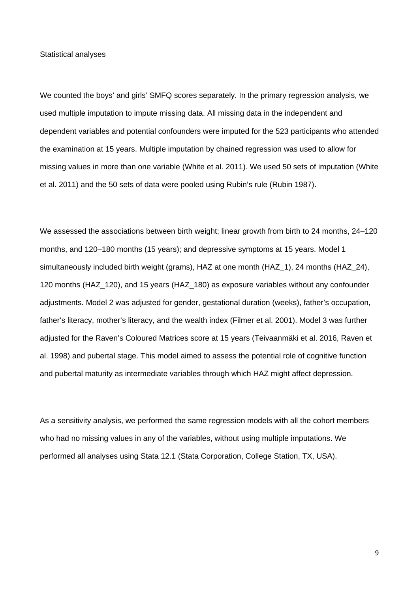Statistical analyses

We counted the boys' and girls' SMFQ scores separately. In the primary regression analysis, we used multiple imputation to impute missing data. All missing data in the independent and dependent variables and potential confounders were imputed for the 523 participants who attended the examination at 15 years. Multiple imputation by chained regression was used to allow for missing values in more than one variable (White et al. 2011). We used 50 sets of imputation (White et al. 2011) and the 50 sets of data were pooled using Rubin's rule (Rubin 1987).

We assessed the associations between birth weight; linear growth from birth to 24 months, 24–120 months, and 120–180 months (15 years); and depressive symptoms at 15 years. Model 1 simultaneously included birth weight (grams), HAZ at one month (HAZ 1), 24 months (HAZ 24), 120 months (HAZ\_120), and 15 years (HAZ\_180) as exposure variables without any confounder adjustments. Model 2 was adjusted for gender, gestational duration (weeks), father's occupation, father's literacy, mother's literacy, and the wealth index (Filmer et al. 2001). Model 3 was further adjusted for the Raven's Coloured Matrices score at 15 years (Teivaanmäki et al. 2016, Raven et al. 1998) and pubertal stage. This model aimed to assess the potential role of cognitive function and pubertal maturity as intermediate variables through which HAZ might affect depression.

As a sensitivity analysis, we performed the same regression models with all the cohort members who had no missing values in any of the variables, without using multiple imputations. We performed all analyses using Stata 12.1 (Stata Corporation, College Station, TX, USA).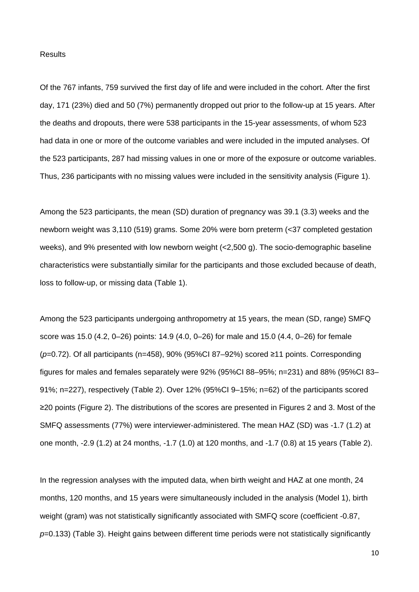# **Results**

Of the 767 infants, 759 survived the first day of life and were included in the cohort. After the first day, 171 (23%) died and 50 (7%) permanently dropped out prior to the follow-up at 15 years. After the deaths and dropouts, there were 538 participants in the 15-year assessments, of whom 523 had data in one or more of the outcome variables and were included in the imputed analyses. Of the 523 participants, 287 had missing values in one or more of the exposure or outcome variables. Thus, 236 participants with no missing values were included in the sensitivity analysis (Figure 1).

Among the 523 participants, the mean (SD) duration of pregnancy was 39.1 (3.3) weeks and the newborn weight was 3,110 (519) grams. Some 20% were born preterm (<37 completed gestation weeks), and 9% presented with low newborn weight (<2,500 g). The socio-demographic baseline characteristics were substantially similar for the participants and those excluded because of death, loss to follow-up, or missing data (Table 1).

Among the 523 participants undergoing anthropometry at 15 years, the mean (SD, range) SMFQ score was 15.0 (4.2, 0–26) points: 14.9 (4.0, 0–26) for male and 15.0 (4.4, 0–26) for female (*p*=0.72). Of all participants (n=458), 90% (95%CI 87–92%) scored ≥11 points. Corresponding figures for males and females separately were 92% (95%CI 88–95%; n=231) and 88% (95%CI 83– 91%; n=227), respectively (Table 2). Over 12% (95%CI 9–15%; n=62) of the participants scored ≥20 points (Figure 2). The distributions of the scores are presented in Figures 2 and 3. Most of the SMFQ assessments (77%) were interviewer-administered. The mean HAZ (SD) was -1.7 (1.2) at one month, -2.9 (1.2) at 24 months, -1.7 (1.0) at 120 months, and -1.7 (0.8) at 15 years (Table 2).

In the regression analyses with the imputed data, when birth weight and HAZ at one month, 24 months, 120 months, and 15 years were simultaneously included in the analysis (Model 1), birth weight (gram) was not statistically significantly associated with SMFQ score (coefficient -0.87, *p*=0.133) (Table 3). Height gains between different time periods were not statistically significantly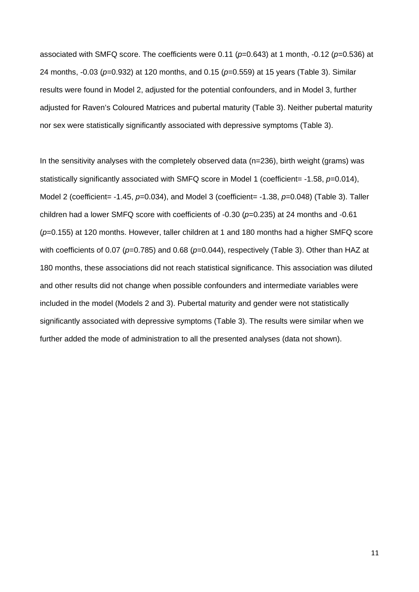associated with SMFQ score. The coefficients were 0.11 (*p*=0.643) at 1 month, -0.12 (*p*=0.536) at 24 months, -0.03 (*p*=0.932) at 120 months, and 0.15 (*p*=0.559) at 15 years (Table 3). Similar results were found in Model 2, adjusted for the potential confounders, and in Model 3, further adjusted for Raven's Coloured Matrices and pubertal maturity (Table 3). Neither pubertal maturity nor sex were statistically significantly associated with depressive symptoms (Table 3).

In the sensitivity analyses with the completely observed data (n=236), birth weight (grams) was statistically significantly associated with SMFQ score in Model 1 (coefficient= -1.58, p=0.014), Model 2 (coefficient= -1.45, *p*=0.034), and Model 3 (coefficient= -1.38, *p*=0.048) (Table 3). Taller children had a lower SMFQ score with coefficients of -0.30 (*p*=0.235) at 24 months and -0.61 (*p*=0.155) at 120 months. However, taller children at 1 and 180 months had a higher SMFQ score with coefficients of 0.07 ( $p=0.785$ ) and 0.68 ( $p=0.044$ ), respectively (Table 3). Other than HAZ at 180 months, these associations did not reach statistical significance. This association was diluted and other results did not change when possible confounders and intermediate variables were included in the model (Models 2 and 3). Pubertal maturity and gender were not statistically significantly associated with depressive symptoms (Table 3). The results were similar when we further added the mode of administration to all the presented analyses (data not shown).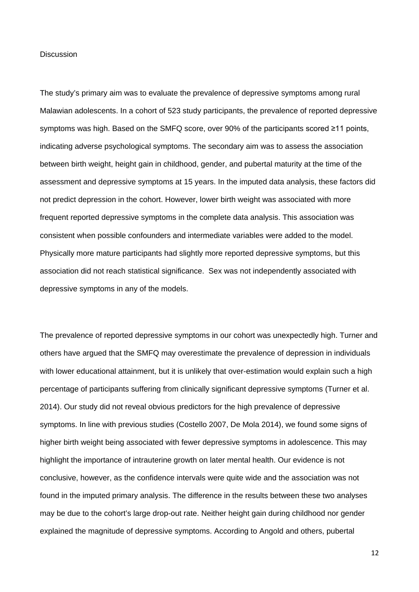#### **Discussion**

The study's primary aim was to evaluate the prevalence of depressive symptoms among rural Malawian adolescents. In a cohort of 523 study participants, the prevalence of reported depressive symptoms was high. Based on the SMFQ score, over 90% of the participants scored ≥11 points, indicating adverse psychological symptoms. The secondary aim was to assess the association between birth weight, height gain in childhood, gender, and pubertal maturity at the time of the assessment and depressive symptoms at 15 years. In the imputed data analysis, these factors did not predict depression in the cohort. However, lower birth weight was associated with more frequent reported depressive symptoms in the complete data analysis. This association was consistent when possible confounders and intermediate variables were added to the model. Physically more mature participants had slightly more reported depressive symptoms, but this association did not reach statistical significance. Sex was not independently associated with depressive symptoms in any of the models.

The prevalence of reported depressive symptoms in our cohort was unexpectedly high. Turner and others have argued that the SMFQ may overestimate the prevalence of depression in individuals with lower educational attainment, but it is unlikely that over-estimation would explain such a high percentage of participants suffering from clinically significant depressive symptoms (Turner et al. 2014). Our study did not reveal obvious predictors for the high prevalence of depressive symptoms. In line with previous studies (Costello 2007, De Mola 2014), we found some signs of higher birth weight being associated with fewer depressive symptoms in adolescence. This may highlight the importance of intrauterine growth on later mental health. Our evidence is not conclusive, however, as the confidence intervals were quite wide and the association was not found in the imputed primary analysis. The difference in the results between these two analyses may be due to the cohort's large drop-out rate. Neither height gain during childhood nor gender explained the magnitude of depressive symptoms. According to Angold and others, pubertal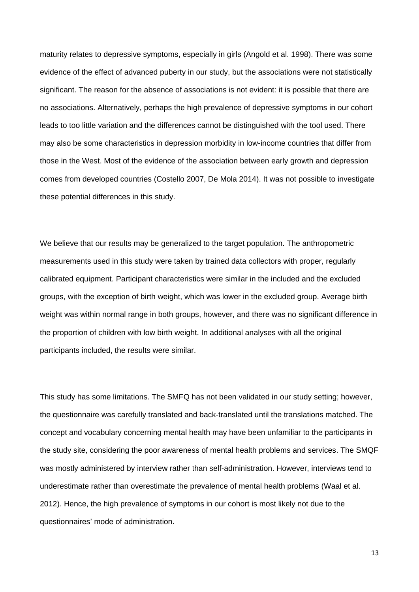maturity relates to depressive symptoms, especially in girls (Angold et al. 1998). There was some evidence of the effect of advanced puberty in our study, but the associations were not statistically significant. The reason for the absence of associations is not evident: it is possible that there are no associations. Alternatively, perhaps the high prevalence of depressive symptoms in our cohort leads to too little variation and the differences cannot be distinguished with the tool used. There may also be some characteristics in depression morbidity in low-income countries that differ from those in the West. Most of the evidence of the association between early growth and depression comes from developed countries (Costello 2007, De Mola 2014). It was not possible to investigate these potential differences in this study.

We believe that our results may be generalized to the target population. The anthropometric measurements used in this study were taken by trained data collectors with proper, regularly calibrated equipment. Participant characteristics were similar in the included and the excluded groups, with the exception of birth weight, which was lower in the excluded group. Average birth weight was within normal range in both groups, however, and there was no significant difference in the proportion of children with low birth weight. In additional analyses with all the original participants included, the results were similar.

This study has some limitations. The SMFQ has not been validated in our study setting; however, the questionnaire was carefully translated and back-translated until the translations matched. The concept and vocabulary concerning mental health may have been unfamiliar to the participants in the study site, considering the poor awareness of mental health problems and services. The SMQF was mostly administered by interview rather than self-administration. However, interviews tend to underestimate rather than overestimate the prevalence of mental health problems (Waal et al. 2012). Hence, the high prevalence of symptoms in our cohort is most likely not due to the questionnaires' mode of administration.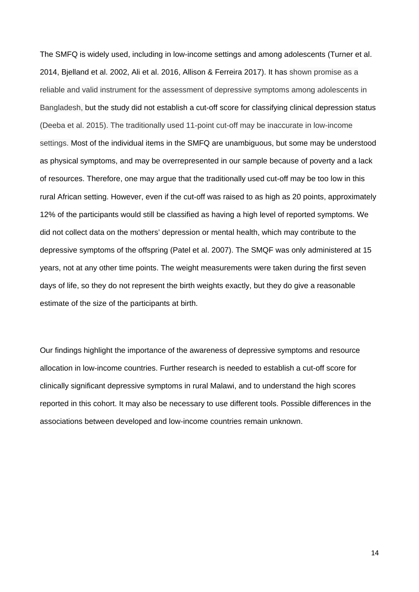The SMFQ is widely used, including in low-income settings and among adolescents (Turner et al. 2014, Bjelland et al. 2002, Ali et al. 2016, Allison & Ferreira 2017). It has shown promise as a reliable and valid instrument for the assessment of depressive symptoms among adolescents in Bangladesh, but the study did not establish a cut-off score for classifying clinical depression status (Deeba et al. 2015). The traditionally used 11-point cut-off may be inaccurate in low-income settings. Most of the individual items in the SMFQ are unambiguous, but some may be understood as physical symptoms, and may be overrepresented in our sample because of poverty and a lack of resources. Therefore, one may argue that the traditionally used cut-off may be too low in this rural African setting. However, even if the cut-off was raised to as high as 20 points, approximately 12% of the participants would still be classified as having a high level of reported symptoms. We did not collect data on the mothers' depression or mental health, which may contribute to the depressive symptoms of the offspring (Patel et al. 2007). The SMQF was only administered at 15 years, not at any other time points. The weight measurements were taken during the first seven days of life, so they do not represent the birth weights exactly, but they do give a reasonable estimate of the size of the participants at birth.

Our findings highlight the importance of the awareness of depressive symptoms and resource allocation in low-income countries. Further research is needed to establish a cut-off score for clinically significant depressive symptoms in rural Malawi, and to understand the high scores reported in this cohort. It may also be necessary to use different tools. Possible differences in the associations between developed and low-income countries remain unknown.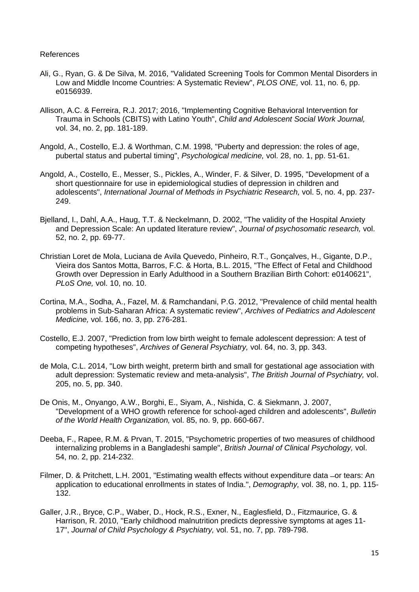# References

- Ali, G., Ryan, G. & De Silva, M. 2016, "Validated Screening Tools for Common Mental Disorders in Low and Middle Income Countries: A Systematic Review", *PLOS ONE,* vol. 11, no. 6, pp. e0156939.
- Allison, A.C. & Ferreira, R.J. 2017; 2016, "Implementing Cognitive Behavioral Intervention for Trauma in Schools (CBITS) with Latino Youth", *Child and Adolescent Social Work Journal,*  vol. 34, no. 2, pp. 181-189.
- Angold, A., Costello, E.J. & Worthman, C.M. 1998, "Puberty and depression: the roles of age, pubertal status and pubertal timing", *Psychological medicine,* vol. 28, no. 1, pp. 51-61.
- Angold, A., Costello, E., Messer, S., Pickles, A., Winder, F. & Silver, D. 1995, "Development of a short questionnaire for use in epidemiological studies of depression in children and adolescents", *International Journal of Methods in Psychiatric Research,* vol. 5, no. 4, pp. 237- 249.
- Bjelland, I., Dahl, A.A., Haug, T.T. & Neckelmann, D. 2002, "The validity of the Hospital Anxiety and Depression Scale: An updated literature review", *Journal of psychosomatic research,* vol. 52, no. 2, pp. 69-77.
- Christian Loret de Mola, Luciana de Avila Quevedo, Pinheiro, R.T., Gonçalves, H., Gigante, D.P., Vieira dos Santos Motta, Barros, F.C. & Horta, B.L. 2015, "The Effect of Fetal and Childhood Growth over Depression in Early Adulthood in a Southern Brazilian Birth Cohort: e0140621", *PLoS One,* vol. 10, no. 10.
- Cortina, M.A., Sodha, A., Fazel, M. & Ramchandani, P.G. 2012, "Prevalence of child mental health problems in Sub-Saharan Africa: A systematic review", *Archives of Pediatrics and Adolescent Medicine,* vol. 166, no. 3, pp. 276-281.
- Costello, E.J. 2007, "Prediction from low birth weight to female adolescent depression: A test of competing hypotheses", *Archives of General Psychiatry,* vol. 64, no. 3, pp. 343.
- de Mola, C.L. 2014, "Low birth weight, preterm birth and small for gestational age association with adult depression: Systematic review and meta-analysis", *The British Journal of Psychiatry,* vol. 205, no. 5, pp. 340.
- De Onis, M., Onyango, A.W., Borghi, E., Siyam, A., Nishida, C. & Siekmann, J. 2007, "Development of a WHO growth reference for school-aged children and adolescents", *Bulletin of the World Health Organization,* vol. 85, no. 9, pp. 660-667.
- Deeba, F., Rapee, R.M. & Prvan, T. 2015, "Psychometric properties of two measures of childhood internalizing problems in a Bangladeshi sample", *British Journal of Clinical Psychology,* vol. 54, no. 2, pp. 214-232.
- Filmer, D. & Pritchett, L.H. 2001, "Estimating wealth effects without expenditure data ̶or tears: An application to educational enrollments in states of India.", *Demography,* vol. 38, no. 1, pp. 115- 132.
- Galler, J.R., Bryce, C.P., Waber, D., Hock, R.S., Exner, N., Eaglesfield, D., Fitzmaurice, G. & Harrison, R. 2010, "Early childhood malnutrition predicts depressive symptoms at ages 11- 17", *Journal of Child Psychology & Psychiatry,* vol. 51, no. 7, pp. 789-798.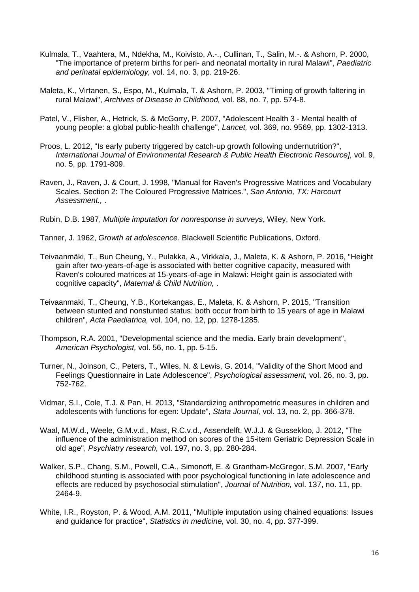- Kulmala, T., Vaahtera, M., Ndekha, M., Koivisto, A.-., Cullinan, T., Salin, M.-. & Ashorn, P. 2000, "The importance of preterm births for peri- and neonatal mortality in rural Malawi", *Paediatric and perinatal epidemiology,* vol. 14, no. 3, pp. 219-26.
- Maleta, K., Virtanen, S., Espo, M., Kulmala, T. & Ashorn, P. 2003, "Timing of growth faltering in rural Malawi", *Archives of Disease in Childhood,* vol. 88, no. 7, pp. 574-8.
- Patel, V., Flisher, A., Hetrick, S. & McGorry, P. 2007, "Adolescent Health 3 Mental health of young people: a global public-health challenge", *Lancet,* vol. 369, no. 9569, pp. 1302-1313.
- Proos, L. 2012, "Is early puberty triggered by catch-up growth following undernutrition?", *International Journal of Environmental Research & Public Health Electronic Resource],* vol. 9, no. 5, pp. 1791-809.
- Raven, J., Raven, J. & Court, J. 1998, "Manual for Raven's Progressive Matrices and Vocabulary Scales. Section 2: The Coloured Progressive Matrices.", *San Antonio, TX: Harcourt Assessment.,* .
- Rubin, D.B. 1987, *Multiple imputation for nonresponse in surveys,* Wiley, New York.
- Tanner, J. 1962, *Growth at adolescence.* Blackwell Scientific Publications, Oxford.
- Teivaanmäki, T., Bun Cheung, Y., Pulakka, A., Virkkala, J., Maleta, K. & Ashorn, P. 2016, "Height gain after two-years-of-age is associated with better cognitive capacity, measured with Raven's coloured matrices at 15-years-of-age in Malawi: Height gain is associated with cognitive capacity", *Maternal & Child Nutrition,* .
- Teivaanmaki, T., Cheung, Y.B., Kortekangas, E., Maleta, K. & Ashorn, P. 2015, "Transition between stunted and nonstunted status: both occur from birth to 15 years of age in Malawi children", *Acta Paediatrica,* vol. 104, no. 12, pp. 1278-1285.
- Thompson, R.A. 2001, "Developmental science and the media. Early brain development", *American Psychologist,* vol. 56, no. 1, pp. 5-15.
- Turner, N., Joinson, C., Peters, T., Wiles, N. & Lewis, G. 2014, "Validity of the Short Mood and Feelings Questionnaire in Late Adolescence", *Psychological assessment,* vol. 26, no. 3, pp. 752-762.
- Vidmar, S.I., Cole, T.J. & Pan, H. 2013, "Standardizing anthropometric measures in children and adolescents with functions for egen: Update", *Stata Journal,* vol. 13, no. 2, pp. 366-378.
- Waal, M.W.d., Weele, G.M.v.d., Mast, R.C.v.d., Assendelft, W.J.J. & Gussekloo, J. 2012, "The influence of the administration method on scores of the 15-item Geriatric Depression Scale in old age", *Psychiatry research,* vol. 197, no. 3, pp. 280-284.
- Walker, S.P., Chang, S.M., Powell, C.A., Simonoff, E. & Grantham-McGregor, S.M. 2007, "Early childhood stunting is associated with poor psychological functioning in late adolescence and effects are reduced by psychosocial stimulation", *Journal of Nutrition,* vol. 137, no. 11, pp. 2464-9.
- White, I.R., Royston, P. & Wood, A.M. 2011, "Multiple imputation using chained equations: Issues and guidance for practice", *Statistics in medicine,* vol. 30, no. 4, pp. 377-399.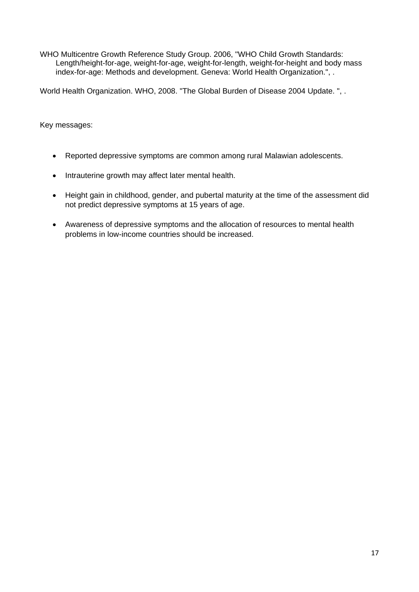WHO Multicentre Growth Reference Study Group. 2006, "WHO Child Growth Standards: Length/height-for-age, weight-for-age, weight-for-length, weight-for-height and body mass index-for-age: Methods and development. Geneva: World Health Organization.", .

World Health Organization. WHO, 2008. "The Global Burden of Disease 2004 Update. ", .

Key messages:

- Reported depressive symptoms are common among rural Malawian adolescents.
- Intrauterine growth may affect later mental health.
- Height gain in childhood, gender, and pubertal maturity at the time of the assessment did not predict depressive symptoms at 15 years of age.
- Awareness of depressive symptoms and the allocation of resources to mental health problems in low-income countries should be increased.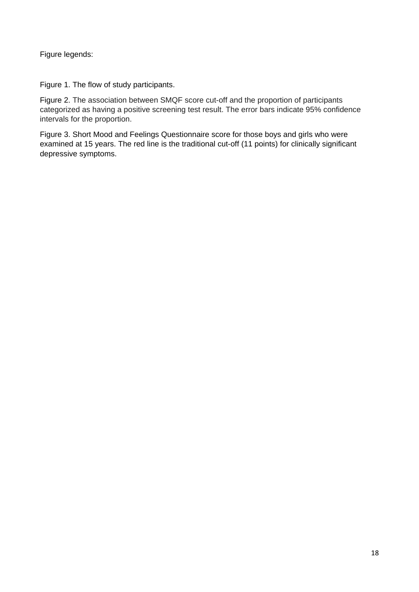Figure legends:

Figure 1. The flow of study participants.

Figure 2. The association between SMQF score cut-off and the proportion of participants categorized as having a positive screening test result. The error bars indicate 95% confidence intervals for the proportion.

Figure 3. Short Mood and Feelings Questionnaire score for those boys and girls who were examined at 15 years. The red line is the traditional cut-off (11 points) for clinically significant depressive symptoms.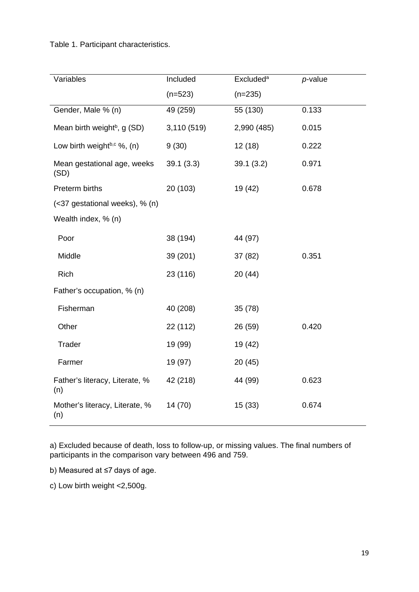Table 1. Participant characteristics.

| Variables                               | Included    | <b>Excluded</b> <sup>a</sup> | $p$ -value |  |  |  |
|-----------------------------------------|-------------|------------------------------|------------|--|--|--|
|                                         | $(n=523)$   | $(n=235)$                    |            |  |  |  |
| Gender, Male % (n)                      | 49 (259)    | 55 (130)                     | 0.133      |  |  |  |
| Mean birth weight <sup>b</sup> , g (SD) | 3,110 (519) | 2,990 (485)                  | 0.015      |  |  |  |
| Low birth weightb,c %, (n)              | 9(30)       | 12(18)                       | 0.222      |  |  |  |
| Mean gestational age, weeks<br>(SD)     | 39.1(3.3)   | 39.1(3.2)                    | 0.971      |  |  |  |
| Preterm births                          | 20 (103)    | 19 (42)                      | 0.678      |  |  |  |
| (<37 gestational weeks), % (n)          |             |                              |            |  |  |  |
| Wealth index, % (n)                     |             |                              |            |  |  |  |
| Poor                                    | 38 (194)    | 44 (97)                      |            |  |  |  |
| Middle                                  | 39 (201)    | 37(82)                       | 0.351      |  |  |  |
| <b>Rich</b>                             | 23 (116)    | 20 (44)                      |            |  |  |  |
| Father's occupation, % (n)              |             |                              |            |  |  |  |
| Fisherman                               | 40 (208)    | 35(78)                       |            |  |  |  |
| Other                                   | 22 (112)    | 26 (59)                      | 0.420      |  |  |  |
| Trader                                  | 19 (99)     | 19 (42)                      |            |  |  |  |
| Farmer                                  | 19 (97)     | 20(45)                       |            |  |  |  |
| Father's literacy, Literate, %<br>(n)   | 42 (218)    | 44 (99)                      | 0.623      |  |  |  |
| Mother's literacy, Literate, %<br>(n)   | 14(70)      | 15(33)                       | 0.674      |  |  |  |

a) Excluded because of death, loss to follow-up, or missing values. The final numbers of participants in the comparison vary between 496 and 759.

b) Measured at ≤7 days of age.

c) Low birth weight <2,500g.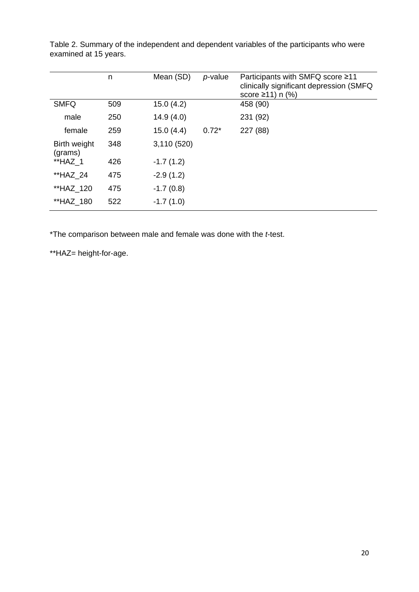|                         | n   | Mean (SD)   | $p$ -value | Participants with SMFQ score ≥11<br>clinically significant depression (SMFQ<br>score $\geq$ 11) n (%) |
|-------------------------|-----|-------------|------------|-------------------------------------------------------------------------------------------------------|
| <b>SMFQ</b>             | 509 | 15.0(4.2)   |            | 458 (90)                                                                                              |
| male                    | 250 | 14.9(4.0)   |            | 231 (92)                                                                                              |
| female                  | 259 | 15.0(4.4)   | $0.72*$    | 227 (88)                                                                                              |
| Birth weight<br>(grams) | 348 | 3,110 (520) |            |                                                                                                       |
| **HAZ 1                 | 426 | $-1.7(1.2)$ |            |                                                                                                       |
| **HAZ 24                | 475 | $-2.9(1.2)$ |            |                                                                                                       |
| **HAZ 120               | 475 | $-1.7(0.8)$ |            |                                                                                                       |
| **HAZ 180               | 522 | $-1.7(1.0)$ |            |                                                                                                       |

Table 2. Summary of the independent and dependent variables of the participants who were examined at 15 years.

\*The comparison between male and female was done with the *t*-test.

\*\*HAZ= height-for-age.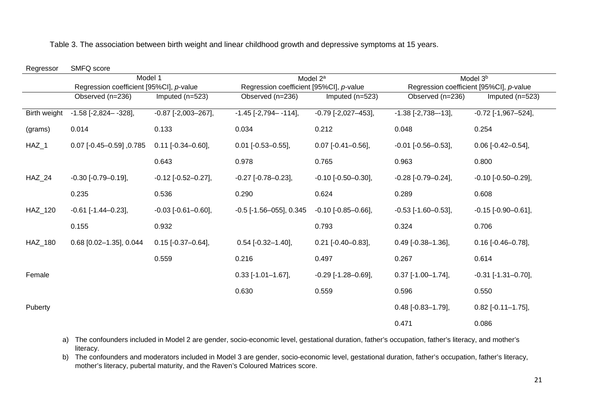| Regressor    | SMFQ score                              |                             |                                         |                             |                                         |                             |
|--------------|-----------------------------------------|-----------------------------|-----------------------------------------|-----------------------------|-----------------------------------------|-----------------------------|
|              | Model 1                                 |                             | Model 2 <sup>a</sup>                    |                             | Model 3 <sup>b</sup>                    |                             |
|              | Regression coefficient [95%CI], p-value |                             | Regression coefficient [95%CI], p-value |                             | Regression coefficient [95%CI], p-value |                             |
|              | Observed (n=236)                        | Imputed $(n=523)$           | Observed (n=236)                        | Imputed $(n=523)$           | Observed (n=236)                        | Imputed (n=523)             |
| Birth weight | $-1.58$ [ $-2,824 - -328$ ],            | $-0.87$ [ $-2,003 - 267$ ], | $-1.45$ [ $-2,794 - 114$ ],             | $-0.79$ $[-2,027-453]$ ,    | $-1.38$ [ $-2,738$ - $-13$ ],           | $-0.72$ [ $-1,967-524$ ],   |
| (grams)      | 0.014                                   | 0.133                       | 0.034                                   | 0.212                       | 0.048                                   | 0.254                       |
| $HAZ_1$      | $0.07$ [-0.45-0.59] ,0.785              | $0.11$ [-0.34-0.60],        | $0.01$ [-0.53-0.55],                    | $0.07$ [-0.41-0.56],        | $-0.01$ [ $-0.56 - 0.53$ ],             | $0.06$ [-0.42-0.54],        |
|              |                                         | 0.643                       | 0.978                                   | 0.765                       | 0.963                                   | 0.800                       |
| $HAZ_24$     | $-0.30$ [ $-0.79 - 0.19$ ],             | $-0.12$ [ $-0.52 - 0.27$ ], | $-0.27$ [ $-0.78 - 0.23$ ],             | $-0.10$ [ $-0.50 - 0.30$ ], | $-0.28$ [ $-0.79 - 0.24$ ],             | $-0.10$ [ $-0.50 - 0.29$ ], |
|              | 0.235                                   | 0.536                       | 0.290                                   | 0.624                       | 0.289                                   | 0.608                       |
| HAZ_120      | $-0.61$ [ $-1.44 - 0.23$ ],             | $-0.03$ [ $-0.61 - 0.60$ ], | $-0.5$ [ $-1.56 - 055$ ], 0.345         | $-0.10$ $[-0.85 - 0.66]$ ,  | $-0.53$ [ $-1.60 - 0.53$ ],             | $-0.15$ [ $-0.90 - 0.61$ ], |
|              | 0.155                                   | 0.932                       |                                         | 0.793                       | 0.324                                   | 0.706                       |
| HAZ_180      | $0.68$ [0.02-1.35], 0.044               | $0.15$ [-0.37-0.64],        | $0.54$ [-0.32-1.40],                    | $0.21$ [-0.40-0.83],        | $0.49$ [-0.38-1.36],                    | $0.16$ [-0.46-0.78],        |
|              |                                         | 0.559                       | 0.216                                   | 0.497                       | 0.267                                   | 0.614                       |
| Female       |                                         |                             | $0.33$ [-1.01-1.67],                    | $-0.29$ [ $-1.28 - 0.69$ ], | $0.37$ [-1.00-1.74],                    | $-0.31$ [ $-1.31 - 0.70$ ], |
|              |                                         |                             | 0.630                                   | 0.559                       | 0.596                                   | 0.550                       |
| Puberty      |                                         |                             |                                         |                             | $0.48$ [-0.83-1.79],                    | $0.82$ [-0.11-1.75],        |
|              |                                         |                             |                                         |                             | 0.471                                   | 0.086                       |

Table 3. The association between birth weight and linear childhood growth and depressive symptoms at 15 years.

a) The confounders included in Model 2 are gender, socio-economic level, gestational duration, father's occupation, father's literacy, and mother's literacy.

b) The confounders and moderators included in Model 3 are gender, socio-economic level, gestational duration, father's occupation, father's literacy, mother's literacy, pubertal maturity, and the Raven's Coloured Matrices score.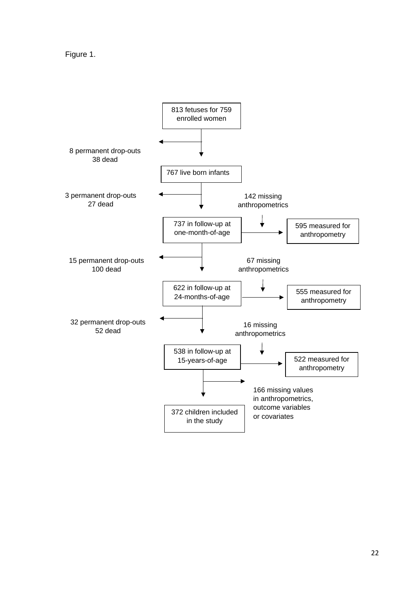Figure 1.

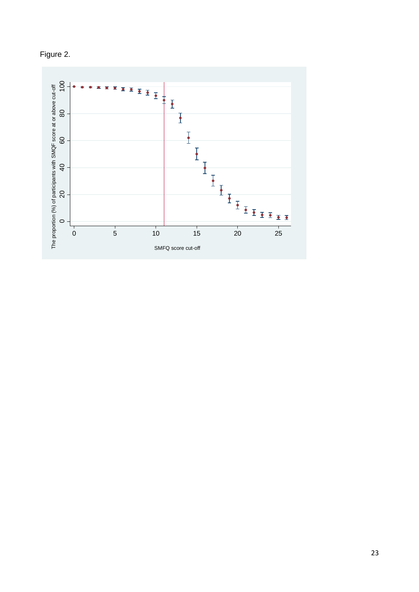